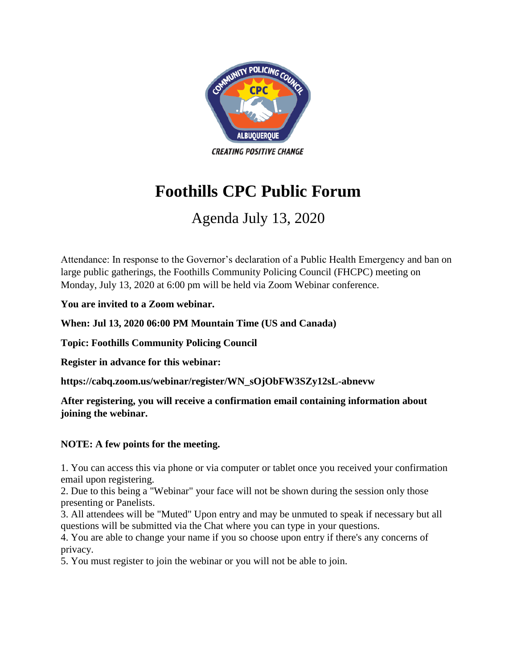

## **Foothills CPC Public Forum**

## Agenda July 13, 2020

Attendance: In response to the Governor's declaration of a Public Health Emergency and ban on large public gatherings, the Foothills Community Policing Council (FHCPC) meeting on Monday, July 13, 2020 at 6:00 pm will be held via Zoom Webinar conference.

**You are invited to a Zoom webinar.** 

**When: Jul 13, 2020 06:00 PM Mountain Time (US and Canada)** 

**Topic: Foothills Community Policing Council** 

**Register in advance for this webinar:**

**https://cabq.zoom.us/webinar/register/WN\_sOjObFW3SZy12sL-abnevw** 

**After registering, you will receive a confirmation email containing information about joining the webinar.**

## **NOTE: A few points for the meeting.**

1. You can access this via phone or via computer or tablet once you received your confirmation email upon registering.

2. Due to this being a "Webinar" your face will not be shown during the session only those presenting or Panelists.

3. All attendees will be "Muted" Upon entry and may be unmuted to speak if necessary but all questions will be submitted via the Chat where you can type in your questions.

4. You are able to change your name if you so choose upon entry if there's any concerns of privacy.

5. You must register to join the webinar or you will not be able to join.